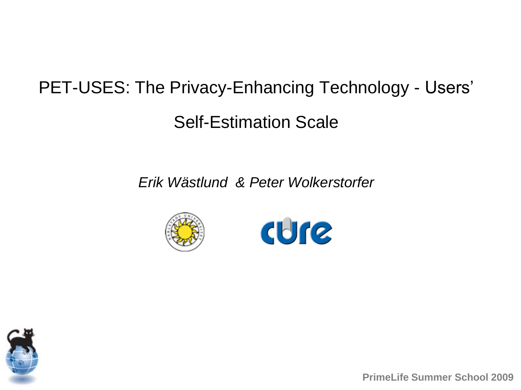## PET-USES: The Privacy-Enhancing Technology - Users'

Self-Estimation Scale

*Erik Wästlund & Peter Wolkerstorfer*







**PrimeLife Summer School 2009**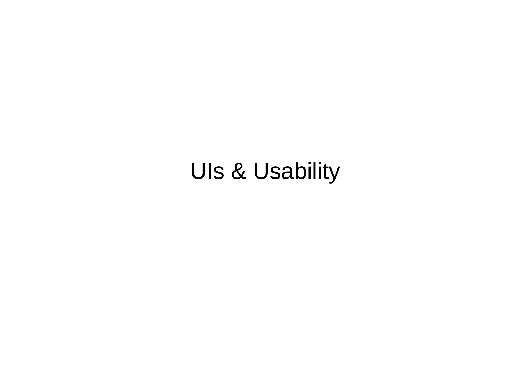## UIs & Usability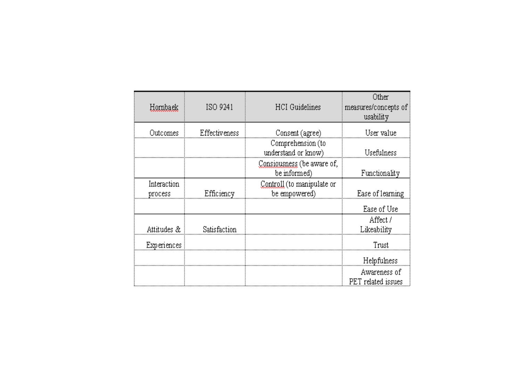| Hornback               | ISO 9241      | <b>HCI</b> Guidelines                       | Other<br>measures/concepts of<br>usability |
|------------------------|---------------|---------------------------------------------|--------------------------------------------|
| Outcomes               | Effectiveness | Consent (agree)                             | User value                                 |
|                        |               | Comprehension (to<br>understand or know)    | Usefulness                                 |
|                        |               | Consiousness (be aware of,<br>be informed)  | Functionality                              |
| Interaction<br>process | Efficiency    | Controll (to manipulate or<br>be empowered) | Ease of learning                           |
|                        |               |                                             | Ease of Use                                |
| Attitudes &            | Satisfaction  |                                             | Affect /<br>Likeability                    |
| Experiences            |               |                                             | Trust                                      |
|                        |               |                                             | Helpfulness                                |
|                        |               |                                             | Awareness of<br>PET related issues         |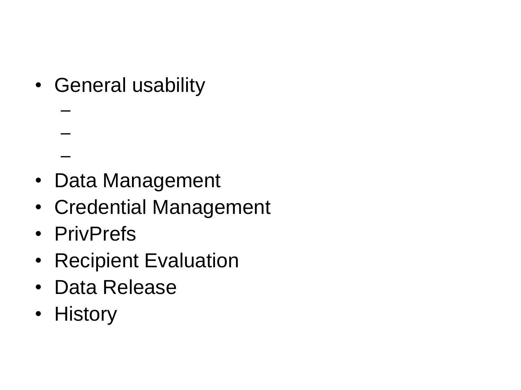• General usability

- Data Management
- Credential Management
- PrivPrefs

–

–

–

- Recipient Evaluation
- Data Release
- History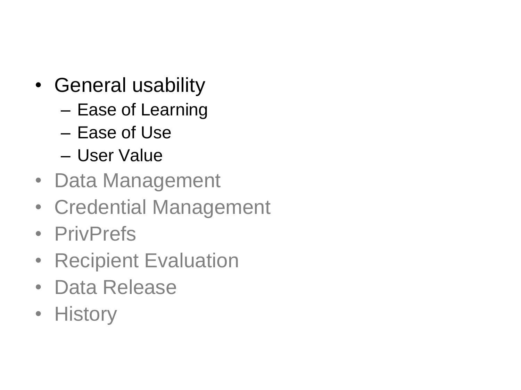- General usability
	- Ease of Learning
	- Ease of Use
	- User Value
- Data Management
- Credential Management
- PrivPrefs
- Recipient Evaluation
- Data Release
- History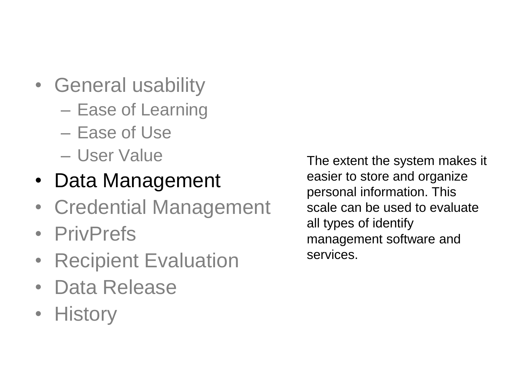- General usability
	- Ease of Learning
	- Ease of Use
	- User Value
- Data Management
- Credential Management
- PrivPrefs
- Recipient Evaluation
- Data Release
- History

The extent the system makes it easier to store and organize personal information. This scale can be used to evaluate all types of identify management software and services.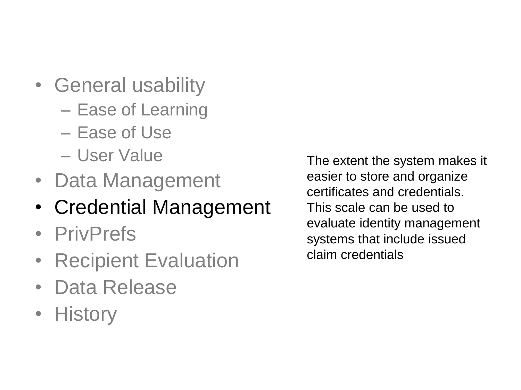- General usability
	- Ease of Learning
	- Ease of Use
	- User Value
- Data Management
- Credential Management
- PrivPrefs
- Recipient Evaluation
- Data Release
- History

The extent the system makes it easier to store and organize certificates and credentials. This scale can be used to evaluate identity management systems that include issued claim credentials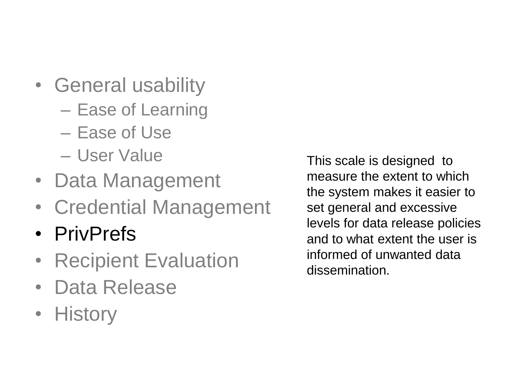- General usability
	- Ease of Learning
	- Ease of Use
	- User Value
- Data Management
- Credential Management
- PrivPrefs
- Recipient Evaluation
- Data Release
- History

This scale is designed to measure the extent to which the system makes it easier to set general and excessive levels for data release policies and to what extent the user is informed of unwanted data dissemination.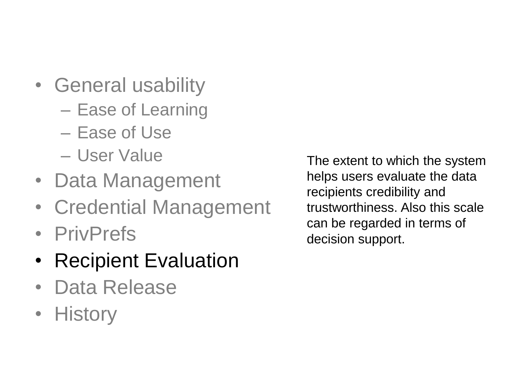- General usability
	- Ease of Learning
	- Ease of Use
	- User Value
- Data Management
- Credential Management
- PrivPrefs
- Recipient Evaluation
- Data Release
- History

The extent to which the system helps users evaluate the data recipients credibility and trustworthiness. Also this scale can be regarded in terms of decision support.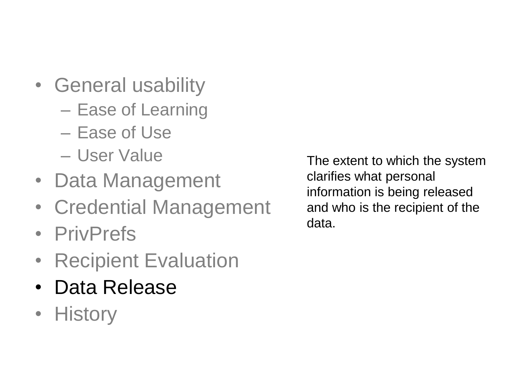- General usability
	- Ease of Learning
	- Ease of Use
	- User Value
- Data Management
- Credential Management
- PrivPrefs
- Recipient Evaluation
- Data Release
- History

The extent to which the system clarifies what personal information is being released and who is the recipient of the data.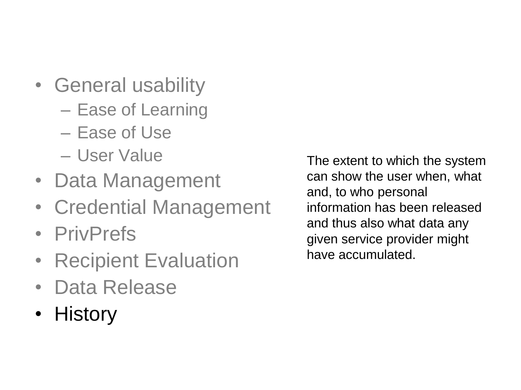- General usability
	- Ease of Learning
	- Ease of Use
	- User Value
- Data Management
- Credential Management
- PrivPrefs
- Recipient Evaluation
- Data Release
- History

The extent to which the system can show the user when, what and, to who personal information has been released and thus also what data any given service provider might have accumulated.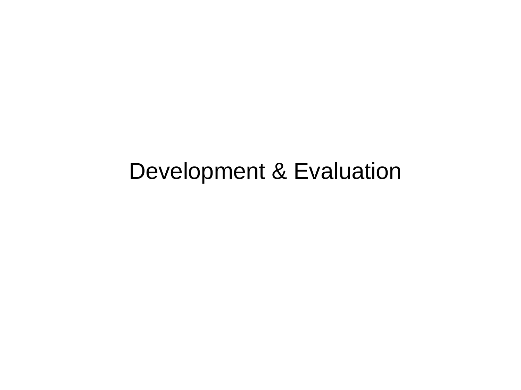## Development & Evaluation